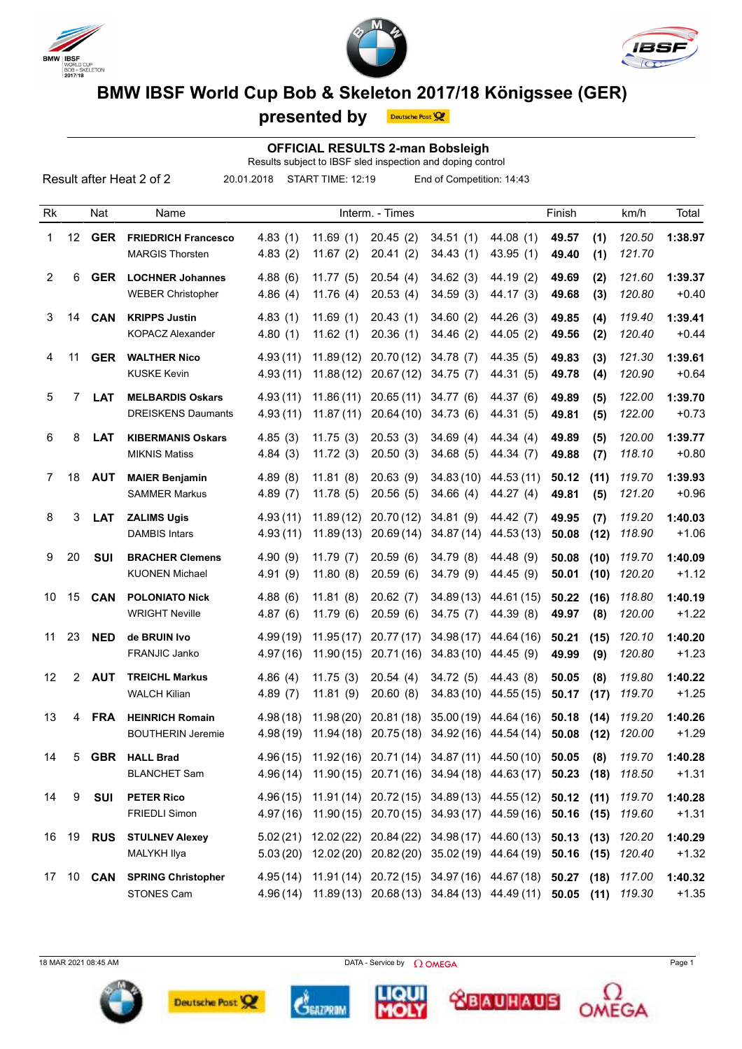





## **BMW IBSF World Cup Bob & Skeleton 2017/18 Königssee (GER)**

|    |    |            | <u>DINTY TDOI TYVITU OUP DOD &amp; ORGIGIOII ZVITTI IO ROITIYSSEE (OLIV)</u> |                      | presented by           | Deutsche Post          |                                                                                         |                                                                                                                                                    |                |              |                  |                    |
|----|----|------------|------------------------------------------------------------------------------|----------------------|------------------------|------------------------|-----------------------------------------------------------------------------------------|----------------------------------------------------------------------------------------------------------------------------------------------------|----------------|--------------|------------------|--------------------|
|    |    |            |                                                                              |                      |                        |                        | <b>OFFICIAL RESULTS 2-man Bobsleigh</b>                                                 |                                                                                                                                                    |                |              |                  |                    |
|    |    |            | Result after Heat 2 of 2                                                     | 20.01.2018           | START TIME: 12:19      |                        | Results subject to IBSF sled inspection and doping control<br>End of Competition: 14:43 |                                                                                                                                                    |                |              |                  |                    |
|    |    |            |                                                                              |                      |                        |                        |                                                                                         |                                                                                                                                                    |                |              |                  |                    |
| Rk |    | Nat        | Name                                                                         | Interm. - Times      |                        |                        |                                                                                         | Finish                                                                                                                                             |                | km/h         | Total            |                    |
| 1  | 12 | <b>GER</b> | <b>FRIEDRICH Francesco</b><br><b>MARGIS Thorsten</b>                         | 4.83(1)<br>4.83(2)   | 11.69(1)<br>11.67(2)   | 20.45(2)<br>20.41(2)   | 34.51(1)<br>34.43(1)                                                                    | 44.08 (1)<br>43.95(1)                                                                                                                              | 49.57<br>49.40 | (1)<br>(1)   | 120.50<br>121.70 | 1:38.97            |
| 2  | 6  | <b>GER</b> | <b>LOCHNER Johannes</b><br><b>WEBER Christopher</b>                          | 4.88(6)<br>4.86(4)   | 11.77(5)<br>11.76(4)   | 20.54(4)<br>20.53(4)   | 34.62(3)<br>34.59(3)                                                                    | 44.19 (2)<br>44.17 (3)                                                                                                                             | 49.69<br>49.68 | (2)<br>(3)   | 121.60<br>120.80 | 1:39.37<br>$+0.40$ |
| 3  | 14 | <b>CAN</b> | <b>KRIPPS Justin</b><br><b>KOPACZ Alexander</b>                              | 4.83(1)<br>4.80(1)   | 11.69(1)<br>11.62(1)   | 20.43(1)<br>20.36(1)   | 34.60(2)<br>34.46(2)                                                                    | 44.26 (3)<br>44.05(2)                                                                                                                              | 49.85<br>49.56 | (4)<br>(2)   | 119.40<br>120.40 | 1:39.41<br>$+0.44$ |
| 4  | 11 | <b>GER</b> | <b>WALTHER Nico</b><br><b>KUSKE Kevin</b>                                    | 4.93(11)<br>4.93(11) | 11.89(12)<br>11.88(12) | 20.70(12)<br>20.67(12) | 34.78(7)<br>34.75(7)                                                                    | 44.35 (5)<br>44.31 (5)                                                                                                                             | 49.83<br>49.78 | (3)<br>(4)   | 121.30<br>120.90 | 1:39.61<br>$+0.64$ |
| 5  | 7  | <b>LAT</b> | <b>MELBARDIS Oskars</b><br><b>DREISKENS Daumants</b>                         | 4.93(11)<br>4.93(11) | 11.86(11)<br>11.87(11) | 20.65(11)<br>20.64(10) | 34.77(6)<br>34.73(6)                                                                    | 44.37 (6)<br>44.31 (5)                                                                                                                             | 49.89<br>49.81 | (5)<br>(5)   | 122.00<br>122.00 | 1:39.70<br>$+0.73$ |
| 6  | 8  | <b>LAT</b> | <b>KIBERMANIS Oskars</b><br><b>MIKNIS Matiss</b>                             | 4.85(3)<br>4.84(3)   | 11.75(3)<br>11.72(3)   | 20.53(3)<br>20.50(3)   | 34.69(4)<br>34.68(5)                                                                    | 44.34 (4)<br>44.34 (7)                                                                                                                             | 49.89<br>49.88 | (5)<br>(7)   | 120.00<br>118.10 | 1:39.77<br>$+0.80$ |
| 7  | 18 | <b>AUT</b> | <b>MAIER Benjamin</b><br><b>SAMMER Markus</b>                                | 4.89(8)<br>4.89(7)   | 11.81(8)<br>11.78(5)   | 20.63(9)<br>20.56(5)   | 34.83(10)<br>34.66(4)                                                                   | 44.53 (11)<br>44.27 (4)                                                                                                                            | 50.12<br>49.81 | (11)<br>(5)  | 119.70<br>121.20 | 1:39.93<br>$+0.96$ |
| 8  | 3  | <b>LAT</b> | <b>ZALIMS Ugis</b><br><b>DAMBIS Intars</b>                                   | 4.93(11)<br>4.93(11) | 11.89(12)<br>11.89(13) | 20.70(12)<br>20.69(14) | 34.81(9)<br>34.87(14)                                                                   | 44.42 (7)<br>44.53(13)                                                                                                                             | 49.95<br>50.08 | (7)<br>(12)  | 119.20<br>118.90 | 1:40.03<br>$+1.06$ |
| 9  | 20 | <b>SUI</b> | <b>BRACHER Clemens</b><br><b>KUONEN Michael</b>                              | 4.90(9)<br>4.91(9)   | 11.79(7)<br>11.80(8)   | 20.59(6)<br>20.59(6)   | 34.79(8)<br>34.79 (9)                                                                   | 44.48 (9)<br>44.45 (9)                                                                                                                             | 50.08<br>50.01 | (10)<br>(10) | 119.70<br>120.20 | 1:40.09<br>$+1.12$ |
| 10 | 15 | <b>CAN</b> | <b>POLONIATO Nick</b><br><b>WRIGHT Neville</b>                               | 4.88(6)<br>4.87(6)   | 11.81(8)<br>11.79(6)   | 20.62(7)<br>20.59(6)   | 34.89(13)<br>34.75(7)                                                                   | 44.61 (15)<br>44.39 (8)                                                                                                                            | 50.22<br>49.97 | (16)<br>(8)  | 118.80<br>120.00 | 1:40.19<br>$+1.22$ |
| 11 | 23 | <b>NED</b> | de BRUIN Ivo<br>FRANJIC Janko                                                | 4.99(19)             |                        |                        |                                                                                         | 11.95 (17) 20.77 (17) 34.98 (17) 44.64 (16)<br>4.97(16) 11.90(15) 20.71(16) 34.83(10) 44.45(9) 49.99 (9)                                           | 50.21          | (15)         | 120.10<br>120.80 | 1:40.20<br>$+1.23$ |
| 12 |    | 2 AUT      | <b>TREICHL Markus</b><br><b>WALCH Kilian</b>                                 | 4.86(4)<br>4.89(7)   | 11.81(9)               | 20.60(8)               |                                                                                         | 11.75 (3) 20.54 (4) 34.72 (5) 44.43 (8) 50.05<br>34.83 (10) 44.55 (15) 50.17 (17) 119.70                                                           |                | (8)          | 119.80           | 1:40.22<br>$+1.25$ |
| 13 |    | 4 FRA      | <b>HEINRICH Romain</b><br><b>BOUTHERIN Jeremie</b>                           | 4.98(18)             |                        |                        |                                                                                         | 11.98 (20) 20.81 (18) 35.00 (19) 44.64 (16) 50.18 (14) 119.20<br>4.98(19) 11.94(18) 20.75(18) 34.92(16) 44.54(14) 50.08 (12) 120.00                |                |              |                  | 1:40.26<br>$+1.29$ |
| 14 | 5  |            | <b>GBR</b> HALL Brad<br><b>BLANCHET Sam</b>                                  |                      |                        |                        |                                                                                         | 4.96 (15) 11.92 (16) 20.71 (14) 34.87 (11) 44.50 (10) 50.05<br>4.96(14) 11.90(15) 20.71(16) 34.94(18) 44.63(17) 50.23 (18) 118.50                  |                | (8)          | 119.70           | 1:40.28<br>$+1.31$ |
| 14 | 9  | SUI        | <b>PETER Rico</b><br><b>FRIEDLI Simon</b>                                    |                      |                        |                        |                                                                                         | 4.96(15) 11.91(14) 20.72(15) 34.89(13) 44.55(12) 50.12 (11) 119.70<br>4.97(16) 11.90(15) 20.70(15) 34.93(17) 44.59(16) 50.16 (15) 119.60           |                |              |                  | 1:40.28<br>$+1.31$ |
|    |    |            | 16 19 RUS STULNEV Alexey<br>MALYKH Ilya                                      |                      |                        |                        |                                                                                         | 5.02 (21) 12.02 (22) 20.84 (22) 34.98 (17) 44.60 (13) 50.13 (13) 120.20<br>5.03 (20) 12.02 (20) 20.82 (20) 35.02 (19) 44.64 (19) 50.16 (15) 120.40 |                |              |                  | 1:40.29<br>$+1.32$ |

MALYKH Ilya 5.03 (20) 12.02 (20) 20.82 (20) 35.02 (19) 44.64 (19) **50.16 (15)** *120.40* +1.32 17 10 **CAN SPRING Christopher** 4.95 (14) 11.91 (14) 20.72 (15) 34.97 (16) 44.67 (18) **50.27 (18)** *117.00* **1:40.32** STONES Cam 4.96 (14) 11.89 (13) 20.68 (13) 34.84 (13) 44.49 (11) **50.05 (11)** *119.30* +1.35

 $18$  MAR 2021 08:45 AM Page 1